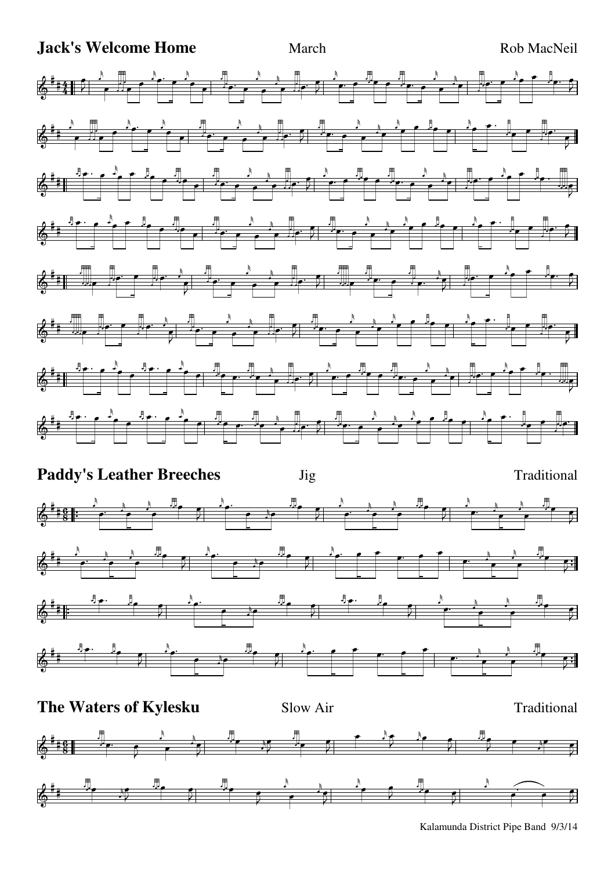## **Jack's Welcome Home** March March Rob MacNeil





Kalamunda District Pipe Band 9/3/14